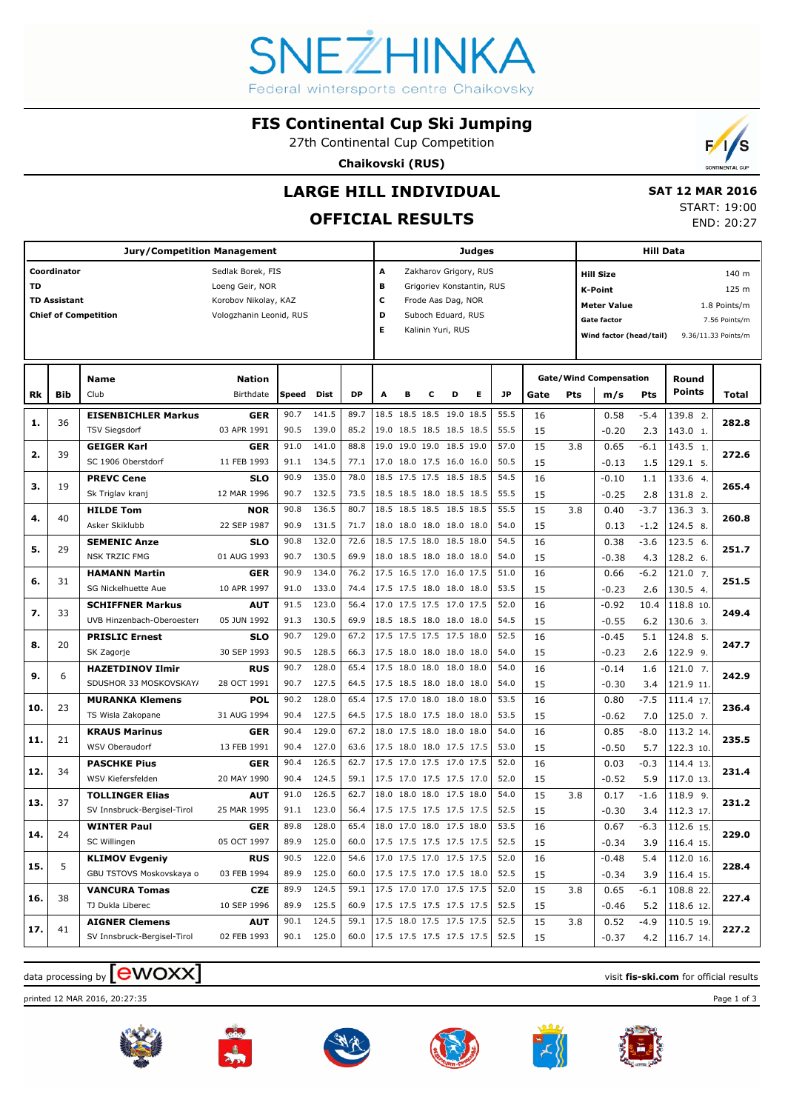

#### **FIS Continental Cup Ski Jumping**

27th Continental Cup Competition

**Chaikovski (RUS)**



### **LARGE HILL INDIVIDUAL**

### **OFFICIAL RESULTS**

 **SAT 12 MAR 2016** START: 19:00 END: 20:27

|     |                     | <b>Jury/Competition Management</b> |                         |       |            |           |                          |   |                          |   | <b>Judges</b>             |           |      |     |                               | <b>Hill Data</b> |               |                     |
|-----|---------------------|------------------------------------|-------------------------|-------|------------|-----------|--------------------------|---|--------------------------|---|---------------------------|-----------|------|-----|-------------------------------|------------------|---------------|---------------------|
|     | Coordinator         |                                    | Sedlak Borek, FIS       |       |            |           | A                        |   |                          |   | Zakharov Grigory, RUS     |           |      |     | <b>Hill Size</b>              |                  |               | 140 m               |
| TD  |                     |                                    | Loeng Geir, NOR         |       |            |           | в                        |   |                          |   | Grigoriev Konstantin, RUS |           |      |     | <b>K-Point</b>                |                  |               | 125 m               |
|     | <b>TD Assistant</b> |                                    | Korobov Nikolay, KAZ    |       |            |           | c                        |   | Frode Aas Dag, NOR       |   |                           |           |      |     | <b>Meter Value</b>            |                  |               | 1.8 Points/m        |
|     |                     | <b>Chief of Competition</b>        | Vologzhanin Leonid, RUS |       |            |           | D                        |   | Suboch Eduard, RUS       |   |                           |           |      |     | <b>Gate factor</b>            |                  |               | 7.56 Points/m       |
|     |                     |                                    |                         |       |            |           | Е                        |   | Kalinin Yuri, RUS        |   |                           |           |      |     | Wind factor (head/tail)       |                  |               | 9.36/11.33 Points/m |
|     |                     |                                    |                         |       |            |           |                          |   |                          |   |                           |           |      |     |                               |                  |               |                     |
|     |                     |                                    |                         |       |            |           |                          |   |                          |   |                           |           |      |     |                               |                  |               |                     |
|     |                     | Name                               | <b>Nation</b>           |       |            |           |                          |   |                          |   |                           |           |      |     | <b>Gate/Wind Compensation</b> |                  | Round         |                     |
| Rk  | Bib                 | Club                               | Birthdate               | Speed | Dist       | <b>DP</b> | A                        | в | c                        | D | Е                         | <b>JP</b> | Gate | Pts | m/s                           | Pts              | <b>Points</b> | Total               |
|     | 36                  | <b>EISENBICHLER Markus</b>         | <b>GER</b>              | 90.7  | 141.5      | 89.7      |                          |   | 18.5 18.5 18.5 19.0 18.5 |   |                           | 55.5      | 16   |     | 0.58                          | $-5.4$           | 139.8 2.      | 282.8               |
| 1.  |                     | <b>TSV Siegsdorf</b>               | 03 APR 1991             | 90.5  | 139.0      | 85.2      |                          |   | 19.0 18.5 18.5 18.5 18.5 |   |                           | 55.5      | 15   |     | $-0.20$                       | 2.3              | 143.0 1.      |                     |
|     |                     | <b>GEIGER Karl</b>                 | <b>GER</b>              | 91.0  | 141.0      | 88.8      |                          |   | 19.0 19.0 19.0 18.5 19.0 |   |                           | 57.0      | 15   | 3.8 | 0.65                          | -6.1             | 143.5 1.      |                     |
| 2.  | 39                  | SC 1906 Oberstdorf                 | 11 FEB 1993             | 91.1  | 134.5      | 77.1      |                          |   | 17.0 18.0 17.5 16.0 16.0 |   |                           | 50.5      | 15   |     | $-0.13$                       | 1.5              | 129.1 5.      | 272.6               |
|     |                     | <b>PREVC Cene</b>                  | <b>SLO</b>              | 90.9  | 135.0      | 78.0      |                          |   | 18.5 17.5 17.5 18.5 18.5 |   |                           | 54.5      | 16   |     | $-0.10$                       | 1.1              | 133.6 4.      |                     |
| з.  | 19                  | Sk Triglav kranj                   | 12 MAR 1996             | 90.7  | 132.5      | 73.5      |                          |   | 18.5 18.5 18.0 18.5 18.5 |   |                           | 55.5      | 15   |     | $-0.25$                       | 2.8              | 131.8 2.      | 265.4               |
|     |                     | <b>HILDE Tom</b>                   | <b>NOR</b>              | 90.8  | 136.5      | 80.7      |                          |   | 18.5 18.5 18.5 18.5 18.5 |   |                           | 55.5      | 15   | 3.8 | 0.40                          | $-3.7$           | 136.3 3.      |                     |
| 4.  | 40                  | Asker Skiklubb                     | 22 SEP 1987             | 90.9  | 131.5      | 71.7      |                          |   | 18.0 18.0 18.0 18.0 18.0 |   |                           | 54.0      | 15   |     | 0.13                          | $-1.2$           | 124.5 8.      | 260.8               |
|     |                     | <b>SEMENIC Anze</b>                | <b>SLO</b>              | 90.8  | 132.0      | 72.6      |                          |   | 18.5 17.5 18.0 18.5 18.0 |   |                           | 54.5      | 16   |     | 0.38                          | $-3.6$           | 123.5 6.      |                     |
| 5.  | 29                  | <b>NSK TRZIC FMG</b>               | 01 AUG 1993             | 90.7  | 130.5      | 69.9      |                          |   | 18.0 18.5 18.0 18.0 18.0 |   |                           | 54.0      | 15   |     | $-0.38$                       | 4.3              | 128.2 6.      | 251.7               |
|     |                     | <b>HAMANN Martin</b>               | GER                     | 90.9  | 134.0      | 76.2      |                          |   | 17.5 16.5 17.0 16.0 17.5 |   |                           | 51.0      | 16   |     | 0.66                          | $-6.2$           | 121.0 7.      |                     |
| 6.  | 31                  | SG Nickelhuette Aue                | 10 APR 1997             | 91.0  | 133.0      | 74.4      |                          |   | 17.5 17.5 18.0 18.0 18.0 |   |                           | 53.5      | 15   |     | $-0.23$                       | 2.6              | 130.5 4.      | 251.5               |
|     |                     | <b>SCHIFFNER Markus</b>            | <b>AUT</b>              | 91.5  | 123.0      | 56.4      |                          |   | 17.0 17.5 17.5 17.0 17.5 |   |                           | 52.0      | 16   |     | $-0.92$                       | 10.4             | 118.8 10.     |                     |
| 7.  | 33                  | UVB Hinzenbach-Oberoesterr         | 05 JUN 1992             | 91.3  | 130.5      | 69.9      |                          |   | 18.5 18.5 18.0 18.0 18.0 |   |                           | 54.5      | 15   |     | $-0.55$                       | 6.2              | 130.6 3.      | 249.4               |
|     |                     | <b>PRISLIC Ernest</b>              | <b>SLO</b>              | 90.7  | 129.0      | 67.2      |                          |   | 17.5 17.5 17.5 17.5 18.0 |   |                           | 52.5      | 16   |     | $-0.45$                       | 5.1              | 124.8 5.      |                     |
| 8.  | 20                  | SK Zagorje                         | 30 SEP 1993             | 90.5  | 128.5      | 66.3      |                          |   | 17.5 18.0 18.0 18.0 18.0 |   |                           | 54.0      | 15   |     | $-0.23$                       | 2.6              | 122.9 9.      | 247.7               |
|     |                     | <b>HAZETDINOV Ilmir</b>            | <b>RUS</b>              | 90.7  | 128.0      | 65.4      |                          |   | 17.5 18.0 18.0 18.0 18.0 |   |                           | 54.0      | 16   |     | $-0.14$                       | 1.6              | $121.0$ 7.    |                     |
| 9.  | 6                   | SDUSHOR 33 MOSKOVSKAY/             | 28 OCT 1991             | 90.7  | 127.5      | 64.5      |                          |   | 17.5 18.5 18.0 18.0 18.0 |   |                           | 54.0      | 15   |     | $-0.30$                       | 3.4              | 121.9 11.     | 242.9               |
|     |                     | <b>MURANKA Klemens</b>             | <b>POL</b>              | 90.2  | 128.0      | 65.4      |                          |   | 17.5 17.0 18.0 18.0 18.0 |   |                           | 53.5      | 16   |     | 0.80                          | $-7.5$           | 111.4 17.     |                     |
| 10. | 23                  | TS Wisla Zakopane                  | 31 AUG 1994             | 90.4  | 127.5      | 64.5      |                          |   | 17.5 18.0 17.5 18.0 18.0 |   |                           | 53.5      | 15   |     | $-0.62$                       | 7.0              | 125.0 7.      | 236.4               |
|     |                     | <b>KRAUS Marinus</b>               | <b>GER</b>              | 90.4  | 129.0      | 67.2      |                          |   | 18.0 17.5 18.0 18.0 18.0 |   |                           | 54.0      | 16   |     | 0.85                          | $-8.0$           | 113.2 14.     |                     |
| 11. | 21                  | WSV Oberaudorf                     | 13 FEB 1991             | 90.4  | 127.0      | 63.6      |                          |   | 17.5 18.0 18.0 17.5 17.5 |   |                           | 53.0      | 15   |     | $-0.50$                       | 5.7              | 122.3 10.     | 235.5               |
|     |                     | <b>PASCHKE Pius</b>                | <b>GER</b>              | 90.4  | 126.5      | 62.7      |                          |   | 17.5 17.0 17.5 17.0 17.5 |   |                           | 52.0      | 16   |     | 0.03                          | $-0.3$           | 114.4 13.     |                     |
| 12. | 34                  | WSV Kiefersfelden                  | 20 MAY 1990             | 90.4  | 124.5      | 59.1      |                          |   | 17.5 17.0 17.5 17.5 17.0 |   |                           | 52.0      | 15   |     | $-0.52$                       | 5.9              | 117.0 13.     | 231.4               |
|     |                     | <b>TOLLINGER Elias</b>             | <b>AUT</b>              | 91.0  | 126.5      | 62.7      |                          |   | 18.0 18.0 18.0 17.5 18.0 |   |                           | 54.0      | 15   | 3.8 | 0.17                          | $-1.6$           | 118.9 9.      |                     |
| 13. | 37                  | SV Innsbruck-Bergisel-Tirol        | 25 MAR 1995             | 91.1  | 123.0      | 56.4      |                          |   | 17.5 17.5 17.5 17.5 17.5 |   |                           | 52.5      | 15   |     | $-0.30$                       | 3.4              | 112.3 17.     | 231.2               |
|     |                     | <b>WINTER Paul</b>                 | <b>GER</b>              | 89.8  | 128.0      | 65.4      | 18.0 17.0 18.0 17.5 18.0 |   |                          |   |                           | 53.5      | 16   |     | 0.67                          | $-6.3$           | 112.6 15.     |                     |
| 14. | 24                  | SC Willingen                       | 05 OCT 1997             | 89.9  | 125.0      | 60.0      | 17.5 17.5 17.5 17.5 17.5 |   |                          |   |                           | 52.5      | 15   |     | $-0.34$                       | 3.9              | 116.4 15.     | 229.0               |
|     |                     | <b>KLIMOV Evgeniy</b>              | <b>RUS</b>              | 90.5  | 122.0      | 54.6      |                          |   | 17.0 17.5 17.0 17.5 17.5 |   |                           | 52.0      | 16   |     | $-0.48$                       | 5.4              | 112.0 16.     |                     |
| 15. | 5                   | GBU TSTOVS Moskovskaya o           | 03 FEB 1994             | 89.9  | 125.0      | 60.0      | 17.5 17.5 17.0 17.5 18.0 |   |                          |   |                           | 52.5      | 15   |     | $-0.34$                       | 3.9              | 116.4 15.     | 228.4               |
|     |                     | <b>VANCURA Tomas</b>               | CZE                     | 89.9  | 124.5      | 59.1      |                          |   | 17.5 17.0 17.0 17.5 17.5 |   |                           | 52.0      | 15   | 3.8 | 0.65                          | -6.1             | 108.8 22.     |                     |
| 16. | 38                  | TJ Dukla Liberec                   | 10 SEP 1996             | 89.9  | 125.5      | 60.9      | 17.5 17.5 17.5 17.5 17.5 |   |                          |   |                           | 52.5      | 15   |     | $-0.46$                       | 5.2              | 118.6 12.     | 227.4               |
|     |                     | <b>AIGNER Clemens</b>              | <b>AUT</b>              | 90.1  | 124.5      | 59.1      | 17.5 18.0 17.5 17.5 17.5 |   |                          |   |                           | 52.5      | 15   | 3.8 | 0.52                          | -4.9             | $110.5$ 19.   |                     |
| 17. | 41                  | SV Innsbruck-Bergisel-Tirol        | 02 FEB 1993             |       | 90.1 125.0 | 60.0      | 17.5 17.5 17.5 17.5 17.5 |   |                          |   |                           | 52.5      | 15   |     | $-0.37$                       | 4.2              | 116.7 14.     | 227.2               |
|     |                     |                                    |                         |       |            |           |                          |   |                          |   |                           |           |      |     |                               |                  |               |                     |

## data processing by **CWOXX** and  $\overline{A}$  and  $\overline{B}$  wisit **fis-ski.com** for official results

printed 12 MAR 2016, 20:27:35 Page 1 of 3











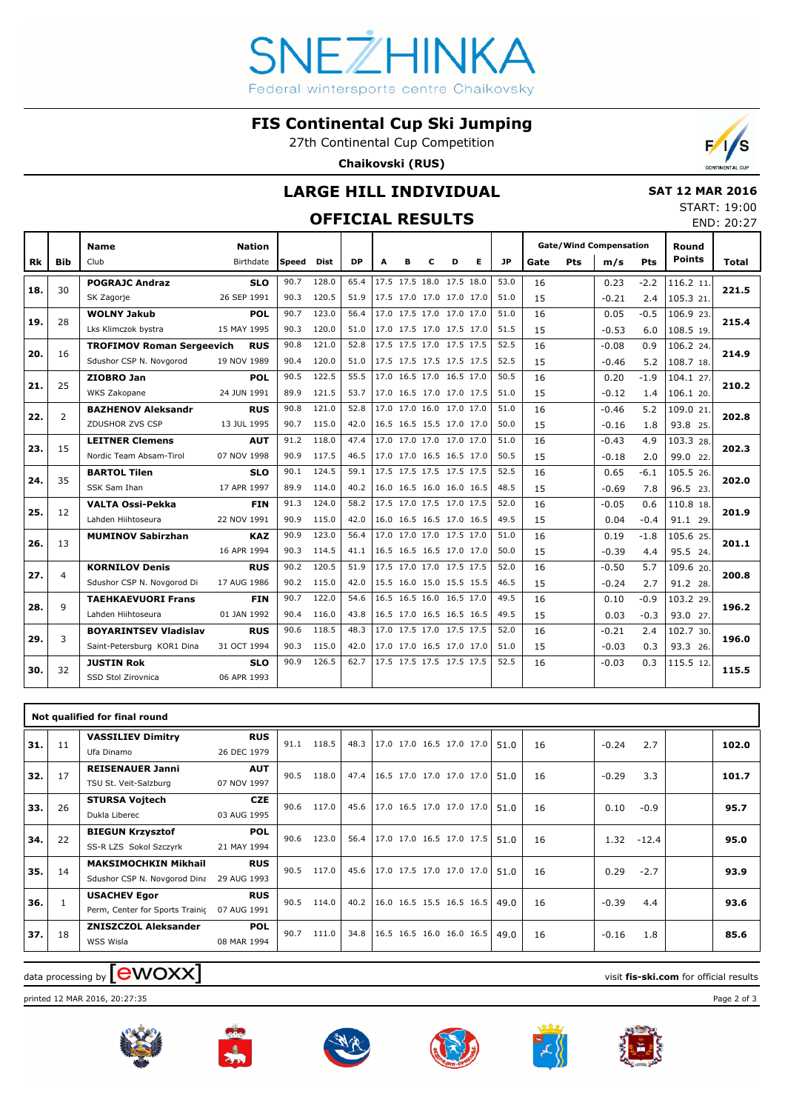# VEZHINKA Federal wintersports centre Chaikovsky

**FIS Continental Cup Ski Jumping**

27th Continental Cup Competition

**Chaikovski (RUS)**



#### **OFFICIAL RESULTS**

|                        | <b>CONTINENTAL CUP</b> |  |
|------------------------|------------------------|--|
| <b>SAT 12 MAR 2016</b> |                        |  |

 $F/s$ 

START: 19:00 END: 20:27

|     |              | <b>Name</b>                      | <b>Nation</b> |       |             |           |                          |   |   |                          |   |      |      |     | <b>Gate/Wind Compensation</b> |            | Round         |       |
|-----|--------------|----------------------------------|---------------|-------|-------------|-----------|--------------------------|---|---|--------------------------|---|------|------|-----|-------------------------------|------------|---------------|-------|
| Rk  | <b>Bib</b>   | Club                             | Birthdate     | Speed | <b>Dist</b> | <b>DP</b> | A                        | в | c | D                        | Е | JP   | Gate | Pts | m/s                           | <b>Pts</b> | <b>Points</b> | Total |
|     | 30           | <b>POGRAJC Andraz</b>            | <b>SLO</b>    | 90.7  | 128.0       | 65.4      |                          |   |   | 17.5 17.5 18.0 17.5 18.0 |   | 53.0 | 16   |     | 0.23                          | $-2.2$     | 116.2 11.     |       |
| 18. |              | SK Zagorje                       | 26 SEP 1991   | 90.3  | 120.5       | 51.9      | 17.5 17.0 17.0 17.0 17.0 |   |   |                          |   | 51.0 | 15   |     | $-0.21$                       | 2.4        | 105.3 21.     | 221.5 |
| 19. | 28           | <b>WOLNY Jakub</b>               | <b>POL</b>    | 90.7  | 123.0       | 56.4      |                          |   |   | 17.0 17.5 17.0 17.0 17.0 |   | 51.0 | 16   |     | 0.05                          | $-0.5$     | 106.9 23.     | 215.4 |
|     |              | Lks Klimczok bystra              | 15 MAY 1995   | 90.3  | 120.0       | 51.0      |                          |   |   | 17.0 17.5 17.0 17.5 17.0 |   | 51.5 | 15   |     | $-0.53$                       | 6.0        | 108.5 19.     |       |
| 20. | 16           | <b>TROFIMOV Roman Sergeevich</b> | <b>RUS</b>    | 90.8  | 121.0       | 52.8      |                          |   |   | 17.5 17.5 17.0 17.5 17.5 |   | 52.5 | 16   |     | $-0.08$                       | 0.9        | 106.2 24.     | 214.9 |
|     |              | Sdushor CSP N. Novgorod          | 19 NOV 1989   | 90.4  | 120.0       | 51.0      |                          |   |   | 17.5 17.5 17.5 17.5 17.5 |   | 52.5 | 15   |     | $-0.46$                       | 5.2        | 108.7 18.     |       |
| 21. | 25           | ZIOBRO Jan                       | <b>POL</b>    | 90.5  | 122.5       | 55.5      |                          |   |   | 17.0 16.5 17.0 16.5 17.0 |   | 50.5 | 16   |     | 0.20                          | $-1.9$     | 104.1 27.     | 210.2 |
|     |              | WKS Zakopane                     | 24 JUN 1991   | 89.9  | 121.5       | 53.7      |                          |   |   | 17.0 16.5 17.0 17.0 17.5 |   | 51.0 | 15   |     | $-0.12$                       | 1.4        | 106.1 20.     |       |
| 22. | 2            | <b>BAZHENOV Aleksandr</b>        | <b>RUS</b>    | 90.8  | 121.0       | 52.8      | 17.0 17.0 16.0 17.0 17.0 |   |   |                          |   | 51.0 | 16   |     | $-0.46$                       | 5.2        | 109.0 21.     | 202.8 |
|     |              | ZDUSHOR ZVS CSP                  | 13 JUL 1995   | 90.7  | 115.0       | 42.0      |                          |   |   | 16.5 16.5 15.5 17.0 17.0 |   | 50.0 | 15   |     | $-0.16$                       | 1.8        | 93.8 25.      |       |
| 23. | 15           | <b>LEITNER Clemens</b>           | <b>AUT</b>    | 91.2  | 118.0       | 47.4      |                          |   |   | 17.0 17.0 17.0 17.0 17.0 |   | 51.0 | 16   |     | $-0.43$                       | 4.9        | 103.3 28.     | 202.3 |
|     |              | Nordic Team Absam-Tirol          | 07 NOV 1998   | 90.9  | 117.5       | 46.5      |                          |   |   | 17.0 17.0 16.5 16.5 17.0 |   | 50.5 | 15   |     | $-0.18$                       | 2.0        | 99.0 22.      |       |
| 24. | 35           | <b>BARTOL Tilen</b>              | <b>SLO</b>    | 90.1  | 124.5       | 59.1      | 17.5 17.5 17.5 17.5 17.5 |   |   |                          |   | 52.5 | 16   |     | 0.65                          | $-6.1$     | 105.5 26.     | 202.0 |
|     |              | SSK Sam Ihan                     | 17 APR 1997   | 89.9  | 114.0       | 40.2      |                          |   |   | 16.0 16.5 16.0 16.0 16.5 |   | 48.5 | 15   |     | $-0.69$                       | 7.8        | 96.5 23.      |       |
| 25. | 12           | <b>VALTA Ossi-Pekka</b>          | <b>FIN</b>    | 91.3  | 124.0       | 58.2      | 17.5 17.0 17.5 17.0 17.5 |   |   |                          |   | 52.0 | 16   |     | $-0.05$                       | 0.6        | 110.8 18.     | 201.9 |
|     |              | Lahden Hiihtoseura               | 22 NOV 1991   | 90.9  | 115.0       | 42.0      |                          |   |   | 16.0 16.5 16.5 17.0 16.5 |   | 49.5 | 15   |     | 0.04                          | $-0.4$     | 91.1 29.      |       |
| 26. | 13           | <b>MUMINOV Sabirzhan</b>         | <b>KAZ</b>    | 90.9  | 123.0       | 56.4      |                          |   |   | 17.0 17.0 17.0 17.5 17.0 |   | 51.0 | 16   |     | 0.19                          | $-1.8$     | 105.6 25.     | 201.1 |
|     |              |                                  | 16 APR 1994   | 90.3  | 114.5       | 41.1      |                          |   |   | 16.5 16.5 16.5 17.0 17.0 |   | 50.0 | 15   |     | $-0.39$                       | 4.4        | 95.5 24.      |       |
| 27. | 4            | <b>KORNILOV Denis</b>            | <b>RUS</b>    | 90.2  | 120.5       | 51.9      |                          |   |   | 17.5 17.0 17.0 17.5 17.5 |   | 52.0 | 16   |     | $-0.50$                       | 5.7        | 109.6 20.     | 200.8 |
|     |              | Sdushor CSP N. Novgorod Di       | 17 AUG 1986   | 90.2  | 115.0       | 42.0      | 15.5 16.0 15.0 15.5 15.5 |   |   |                          |   | 46.5 | 15   |     | $-0.24$                       | 2.7        | 91.2 28.      |       |
| 28. | $\mathbf{Q}$ | <b>TAEHKAEVUORI Frans</b>        | <b>FIN</b>    | 90.7  | 122.0       | 54.6      | 16.5 16.5 16.0 16.5 17.0 |   |   |                          |   | 49.5 | 16   |     | 0.10                          | $-0.9$     | 103.2 29.     | 196.2 |
|     |              | Lahden Hiihtoseura               | 01 JAN 1992   | 90.4  | 116.0       | 43.8      |                          |   |   | 16.5 17.0 16.5 16.5 16.5 |   | 49.5 | 15   |     | 0.03                          | $-0.3$     | 93.0 27.      |       |
| 29. | 3            | <b>BOYARINTSEV Vladislav</b>     | <b>RUS</b>    | 90.6  | 118.5       | 48.3      |                          |   |   | 17.0 17.5 17.0 17.5 17.5 |   | 52.0 | 16   |     | $-0.21$                       | 2.4        | 102.7 30.     | 196.0 |
|     |              | Saint-Petersburg KOR1 Dina       | 31 OCT 1994   | 90.3  | 115.0       | 42.0      |                          |   |   | 17.0 17.0 16.5 17.0 17.0 |   | 51.0 | 15   |     | $-0.03$                       | 0.3        | 93.3 26.      |       |
| 30. | 32           | <b>JUSTIN Rok</b>                | <b>SLO</b>    | 90.9  | 126.5       | 62.7      |                          |   |   | 17.5 17.5 17.5 17.5 17.5 |   | 52.5 | 16   |     | $-0.03$                       | 0.3        | 115.5 12.     | 115.5 |
|     |              | SSD Stol Zirovnica               | 06 APR 1993   |       |             |           |                          |   |   |                          |   |      |      |     |                               |            |               |       |
|     |              |                                  |               |       |             |           |                          |   |   |                          |   |      |      |     |                               |            |               |       |

|     |    | Not qualified for final round                               |                           |      |       |      |                                      |  |      |    |         |         |       |
|-----|----|-------------------------------------------------------------|---------------------------|------|-------|------|--------------------------------------|--|------|----|---------|---------|-------|
| 31. | 11 | <b>VASSILIEV Dimitry</b><br>Ufa Dinamo                      | <b>RUS</b><br>26 DEC 1979 | 91.1 | 118.5 | 48.3 | $ 17.0 \t17.0 \t16.5 \t17.0 \t17.0 $ |  | 51.0 | 16 | $-0.24$ | 2.7     | 102.0 |
| 32. | 17 | <b>REISENAUER Janni</b><br>TSU St. Veit-Salzburg            | <b>AUT</b><br>07 NOV 1997 | 90.5 | 118.0 | 47.4 | $16.5$ 17.0 17.0 17.0 17.0           |  | 51.0 | 16 | $-0.29$ | 3.3     | 101.7 |
| 33. | 26 | <b>STURSA Vojtech</b><br>Dukla Liberec                      | <b>CZE</b><br>03 AUG 1995 | 90.6 | 117.0 |      | 45.6 17.0 16.5 17.0 17.0 17.0        |  | 51.0 | 16 | 0.10    | $-0.9$  | 95.7  |
| 34. | 22 | <b>BIEGUN Krzysztof</b><br>SS-R LZS Sokol Szczyrk           | <b>POL</b><br>21 MAY 1994 | 90.6 | 123.0 | 56.4 | $17.0$ 17.0 16.5 17.0 17.5           |  | 51.0 | 16 | 1.32    | $-12.4$ | 95.0  |
| 35. | 14 | <b>MAKSIMOCHKIN Mikhail</b><br>Sdushor CSP N. Novgorod Dina | <b>RUS</b><br>29 AUG 1993 | 90.5 | 117.0 | 45.6 | $ 17.0 \t17.5 \t17.0 \t17.0 \t17.0 $ |  | 51.0 | 16 | 0.29    | $-2.7$  | 93.9  |
| 36. | 1  | <b>USACHEV Egor</b><br>Perm, Center for Sports Trainic      | <b>RUS</b><br>07 AUG 1991 | 90.5 | 114.0 | 40.2 | $16.0$ 16.5 15.5 16.5 16.5           |  | 49.0 | 16 | $-0.39$ | 4.4     | 93.6  |
| 37. | 18 | <b>ZNISZCZOL Aleksander</b><br>WSS Wisla                    | <b>POL</b><br>08 MAR 1994 | 90.7 | 111.0 | 34.8 | $16.5$ 16.5 16.0 16.0 16.5           |  | 49.0 | 16 | $-0.16$ | 1.8     | 85.6  |

## $\frac{1}{2}$  data processing by  $\boxed{\text{ewOX}}$

printed 12 MAR 2016, 20:27:35 Page 2 of 3